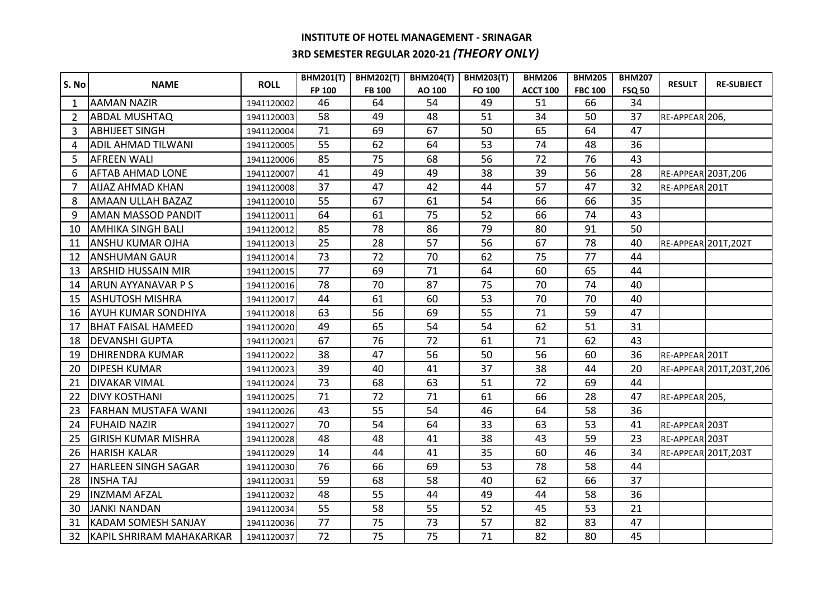## **INSTITUTE OF HOTEL MANAGEMENT - SRINAGAR 3RD SEMESTER REGULAR 2020-21** *(THEORY ONLY)*

| S. No          | <b>NAME</b>                | <b>ROLL</b> | <b>BHM201(T)</b> | <b>BHM202(T)</b> | <b>BHM204(T)</b> | <b>BHM203(T)</b> | <b>BHM206</b>   | <b>BHM205</b>  | <b>BHM207</b> | <b>RESULT</b>       | <b>RE-SUBJECT</b>         |
|----------------|----------------------------|-------------|------------------|------------------|------------------|------------------|-----------------|----------------|---------------|---------------------|---------------------------|
|                |                            |             | FP 100           | <b>FB 100</b>    | AO 100           | FO 100           | <b>ACCT 100</b> | <b>FBC 100</b> | <b>FSQ 50</b> |                     |                           |
| 1              | <b>AAMAN NAZIR</b>         | 1941120002  | 46               | 64               | 54               | 49               | 51              | 66             | 34            |                     |                           |
| $\overline{2}$ | <b>ABDAL MUSHTAQ</b>       | 1941120003  | 58               | 49               | 48               | 51               | 34              | 50             | 37            | RE-APPEAR 206,      |                           |
| 3              | <b>ABHIJEET SINGH</b>      | 1941120004  | 71               | 69               | 67               | 50               | 65              | 64             | 47            |                     |                           |
| 4              | <b>ADIL AHMAD TILWANI</b>  | 1941120005  | 55               | 62               | 64               | 53               | 74              | 48             | 36            |                     |                           |
| 5              | <b>AFREEN WALI</b>         | 1941120006  | 85               | 75               | 68               | 56               | 72              | 76             | 43            |                     |                           |
| 6              | <b>AFTAB AHMAD LONE</b>    | 1941120007  | 41               | 49               | 49               | 38               | 39              | 56             | 28            | RE-APPEAR 203T, 206 |                           |
| 7              | <b>AIJAZ AHMAD KHAN</b>    | 1941120008  | 37               | 47               | 42               | 44               | 57              | 47             | 32            | RE-APPEAR 201T      |                           |
| 8              | <b>AMAAN ULLAH BAZAZ</b>   | 1941120010  | 55               | 67               | 61               | 54               | 66              | 66             | 35            |                     |                           |
| 9              | <b>AMAN MASSOD PANDIT</b>  | 1941120011  | 64               | 61               | 75               | 52               | 66              | 74             | 43            |                     |                           |
| 10             | <b>AMHIKA SINGH BALI</b>   | 1941120012  | 85               | 78               | 86               | 79               | 80              | 91             | 50            |                     |                           |
| 11             | <b>ANSHU KUMAR OJHA</b>    | 1941120013  | 25               | 28               | 57               | 56               | 67              | 78             | 40            |                     | RE-APPEAR 201T, 202T      |
| 12             | <b>ANSHUMAN GAUR</b>       | 1941120014  | 73               | 72               | 70               | 62               | 75              | 77             | 44            |                     |                           |
| 13             | <b>ARSHID HUSSAIN MIR</b>  | 1941120015  | 77               | 69               | 71               | 64               | 60              | 65             | 44            |                     |                           |
| 14             | <b>ARUN AYYANAVAR P S</b>  | 1941120016  | 78               | 70               | 87               | 75               | 70              | 74             | 40            |                     |                           |
| 15             | <b>ASHUTOSH MISHRA</b>     | 1941120017  | 44               | 61               | 60               | 53               | 70              | 70             | 40            |                     |                           |
| 16             | <b>AYUH KUMAR SONDHIYA</b> | 1941120018  | 63               | 56               | 69               | 55               | 71              | 59             | 47            |                     |                           |
| 17             | <b>BHAT FAISAL HAMEED</b>  | 1941120020  | 49               | 65               | 54               | 54               | 62              | 51             | 31            |                     |                           |
| 18             | <b>DEVANSHI GUPTA</b>      | 1941120021  | 67               | 76               | 72               | 61               | 71              | 62             | 43            |                     |                           |
| 19             | <b>DHIRENDRA KUMAR</b>     | 1941120022  | 38               | 47               | 56               | 50               | 56              | 60             | 36            | RE-APPEAR 201T      |                           |
| 20             | <b>DIPESH KUMAR</b>        | 1941120023  | 39               | 40               | 41               | 37               | 38              | 44             | 20            |                     | RE-APPEAR 201T, 203T, 206 |
| 21             | <b>DIVAKAR VIMAL</b>       | 1941120024  | 73               | 68               | 63               | 51               | 72              | 69             | 44            |                     |                           |
| 22             | <b>DIVY KOSTHANI</b>       | 1941120025  | 71               | 72               | 71               | 61               | 66              | 28             | 47            | RE-APPEAR 205,      |                           |
| 23             | <b>FARHAN MUSTAFA WANI</b> | 1941120026  | 43               | 55               | 54               | 46               | 64              | 58             | 36            |                     |                           |
| 24             | <b>FUHAID NAZIR</b>        | 1941120027  | 70               | 54               | 64               | 33               | 63              | 53             | 41            | RE-APPEAR 203T      |                           |
| 25             | <b>GIRISH KUMAR MISHRA</b> | 1941120028  | 48               | 48               | 41               | 38               | 43              | 59             | 23            | RE-APPEAR 203T      |                           |
| 26             | <b>HARISH KALAR</b>        | 1941120029  | 14               | 44               | 41               | 35               | 60              | 46             | 34            |                     | RE-APPEAR 201T, 203T      |
| 27             | <b>HARLEEN SINGH SAGAR</b> | 1941120030  | 76               | 66               | 69               | 53               | 78              | 58             | 44            |                     |                           |
| 28             | <b>INSHATAJ</b>            | 1941120031  | 59               | 68               | 58               | 40               | 62              | 66             | 37            |                     |                           |
| 29             | <b>INZMAM AFZAL</b>        | 1941120032  | 48               | 55               | 44               | 49               | 44              | 58             | 36            |                     |                           |
| 30             | <b>JANKI NANDAN</b>        | 1941120034  | 55               | 58               | 55               | 52               | 45              | 53             | 21            |                     |                           |
| 31             | <b>KADAM SOMESH SANJAY</b> | 1941120036  | 77               | 75               | 73               | 57               | 82              | 83             | 47            |                     |                           |
| 32             | KAPIL SHRIRAM MAHAKARKAR   | 1941120037  | 72               | 75               | 75               | 71               | 82              | 80             | 45            |                     |                           |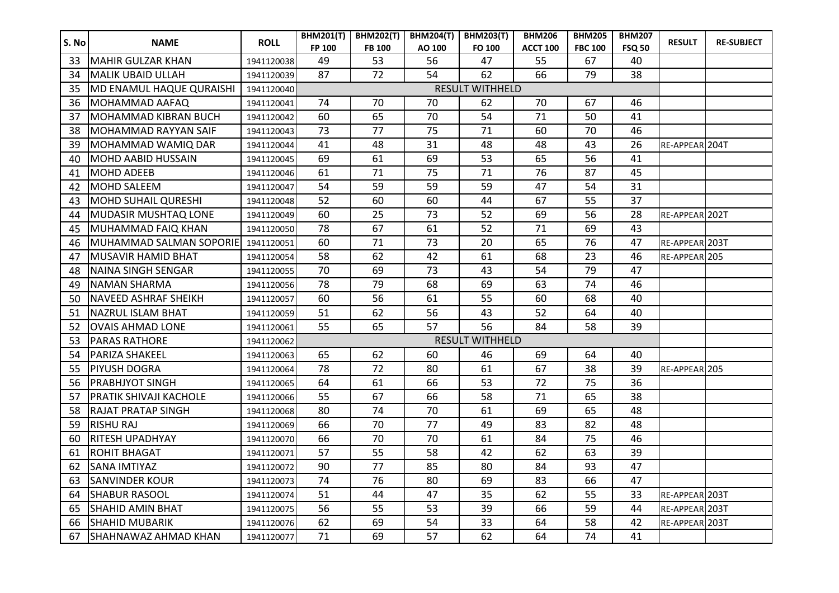| S. No | <b>NAME</b>                 | <b>ROLL</b> | <b>BHM201(T)</b>       | <b>BHM202(T)</b> |        | BHM204(T)   BHM203(T)  | <b>BHM206</b>   | <b>BHM205</b>  | <b>BHM207</b> | <b>RESULT</b>  | <b>RE-SUBJECT</b> |
|-------|-----------------------------|-------------|------------------------|------------------|--------|------------------------|-----------------|----------------|---------------|----------------|-------------------|
|       |                             |             | FP 100                 | <b>FB 100</b>    | AO 100 | FO 100                 | <b>ACCT 100</b> | <b>FBC 100</b> | <b>FSQ 50</b> |                |                   |
| 33    | MAHIR GULZAR KHAN           | 1941120038  | 49                     | 53               | 56     | 47                     | 55              | 67             | 40            |                |                   |
| 34    | <b>MALIK UBAID ULLAH</b>    | 1941120039  | 87                     | 72               | 54     | 62                     | 66              | 79             | 38            |                |                   |
| 35    | MD ENAMUL HAQUE QURAISHI    | 1941120040  | <b>RESULT WITHHELD</b> |                  |        |                        |                 |                |               |                |                   |
| 36    | MOHAMMAD AAFAQ              | 1941120041  | 74                     | 70               | 70     | 62                     | 70              | 67             | 46            |                |                   |
| 37    | <b>MOHAMMAD KIBRAN BUCH</b> | 1941120042  | 60                     | 65               | 70     | 54                     | 71              | 50             | 41            |                |                   |
| 38    | MOHAMMAD RAYYAN SAIF        | 1941120043  | 73                     | 77               | 75     | 71                     | 60              | 70             | 46            |                |                   |
| 39    | MOHAMMAD WAMIQ DAR          | 1941120044  | 41                     | 48               | 31     | 48                     | 48              | 43             | 26            | RE-APPEAR 204T |                   |
| 40    | <b>MOHD AABID HUSSAIN</b>   | 1941120045  | 69                     | 61               | 69     | 53                     | 65              | 56             | 41            |                |                   |
| 41    | <b>MOHD ADEEB</b>           | 1941120046  | 61                     | 71               | 75     | 71                     | 76              | 87             | 45            |                |                   |
| 42    | <b>MOHD SALEEM</b>          | 1941120047  | 54                     | 59               | 59     | 59                     | 47              | 54             | 31            |                |                   |
| 43    | <b>MOHD SUHAIL QURESHI</b>  | 1941120048  | 52                     | 60               | 60     | 44                     | 67              | 55             | 37            |                |                   |
| 44    | <b>MUDASIR MUSHTAQ LONE</b> | 1941120049  | 60                     | 25               | 73     | 52                     | 69              | 56             | 28            | RE-APPEAR 202T |                   |
| 45    | MUHAMMAD FAIQ KHAN          | 1941120050  | 78                     | 67               | 61     | 52                     | 71              | 69             | 43            |                |                   |
| 46    | MUHAMMAD SALMAN SOPORIE     | 1941120051  | 60                     | 71               | 73     | 20                     | 65              | 76             | 47            | RE-APPEAR 203T |                   |
| 47    | MUSAVIR HAMID BHAT          | 1941120054  | 58                     | 62               | 42     | 61                     | 68              | 23             | 46            | RE-APPEAR 205  |                   |
| 48    | <b>NAINA SINGH SENGAR</b>   | 1941120055  | 70                     | 69               | 73     | 43                     | 54              | 79             | 47            |                |                   |
| 49    | <b>NAMAN SHARMA</b>         | 1941120056  | 78                     | 79               | 68     | 69                     | 63              | 74             | 46            |                |                   |
| 50    | <b>NAVEED ASHRAF SHEIKH</b> | 1941120057  | 60                     | 56               | 61     | 55                     | 60              | 68             | 40            |                |                   |
| 51    | <b>NAZRUL ISLAM BHAT</b>    | 1941120059  | 51                     | 62               | 56     | 43                     | 52              | 64             | 40            |                |                   |
| 52    | <b>OVAIS AHMAD LONE</b>     | 1941120061  | 55                     | 65               | 57     | 56                     | 84              | 58             | 39            |                |                   |
| 53    | <b>PARAS RATHORE</b>        | 1941120062  |                        |                  |        | <b>RESULT WITHHELD</b> |                 |                |               |                |                   |
| 54    | <b>PARIZA SHAKEEL</b>       | 1941120063  | 65                     | 62               | 60     | 46                     | 69              | 64             | 40            |                |                   |
| 55    | <b>PIYUSH DOGRA</b>         | 1941120064  | 78                     | 72               | 80     | 61                     | 67              | 38             | 39            | RE-APPEAR 205  |                   |
| 56    | <b>PRABHJYOT SINGH</b>      | 1941120065  | 64                     | 61               | 66     | 53                     | 72              | 75             | 36            |                |                   |
| 57    | PRATIK SHIVAJI KACHOLE      | 1941120066  | 55                     | 67               | 66     | 58                     | 71              | 65             | 38            |                |                   |
| 58    | <b>RAJAT PRATAP SINGH</b>   | 1941120068  | 80                     | 74               | 70     | 61                     | 69              | 65             | 48            |                |                   |
| 59    | <b>RISHU RAJ</b>            | 1941120069  | 66                     | 70               | 77     | 49                     | 83              | 82             | 48            |                |                   |
| 60    | <b>RITESH UPADHYAY</b>      | 1941120070  | 66                     | 70               | 70     | 61                     | 84              | 75             | 46            |                |                   |
| 61    | <b>ROHIT BHAGAT</b>         | 1941120071  | 57                     | 55               | 58     | 42                     | 62              | 63             | 39            |                |                   |
| 62    | <b>SANA IMTIYAZ</b>         | 1941120072  | 90                     | 77               | 85     | 80                     | 84              | 93             | 47            |                |                   |
| 63    | <b>SANVINDER KOUR</b>       | 1941120073  | 74                     | 76               | 80     | 69                     | 83              | 66             | 47            |                |                   |
| 64    | <b>SHABUR RASOOL</b>        | 1941120074  | 51                     | 44               | 47     | 35                     | 62              | 55             | 33            | RE-APPEAR 203T |                   |
| 65    | <b>SHAHID AMIN BHAT</b>     | 1941120075  | 56                     | 55               | 53     | 39                     | 66              | 59             | 44            | RE-APPEAR 203T |                   |
| 66    | <b>SHAHID MUBARIK</b>       | 1941120076  | 62                     | 69               | 54     | 33                     | 64              | 58             | 42            | RE-APPEAR 203T |                   |
| 67    | SHAHNAWAZ AHMAD KHAN        | 1941120077  | 71                     | 69               | 57     | 62                     | 64              | 74             | 41            |                |                   |